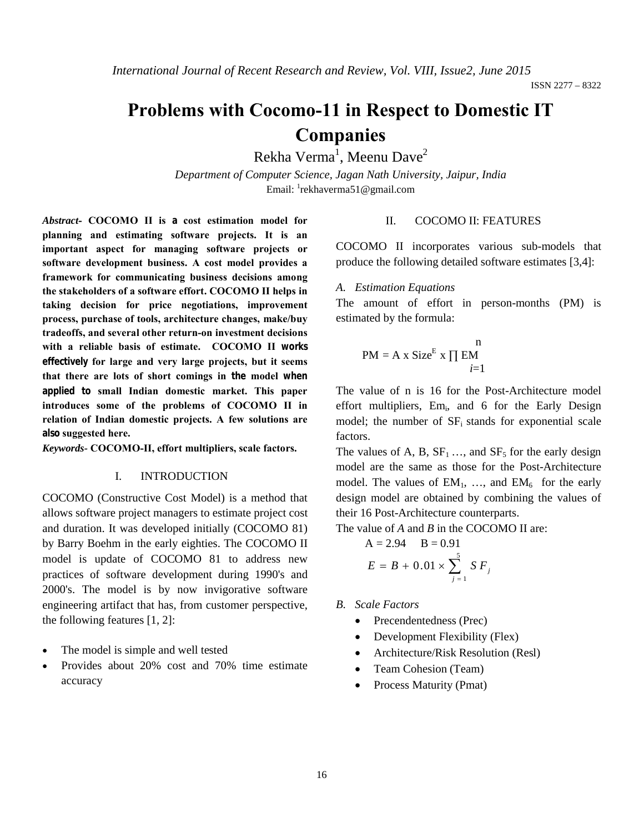# **Problems with Cocomo-11 in Respect to Domestic IT Companies**

Rekha Verma $^{\rm l}$ , Meenu Dave $^{\rm 2}$ 

*Department of Computer Science, Jagan Nath University, Jaipur, India* Email: <sup>1</sup>rekhaverma51@gmail.com

*Abstract***- COCOMO II is a cost estimation model for planning and estimating software projects. It is an important aspect for managing software projects or software development business. A cost model provides a framework for communicating business decisions among the stakeholders of a software effort. COCOMO II helps in taking decision for price negotiations, improvement process, purchase of tools, architecture changes, make/buy tradeoffs, and several other return-on investment decisions with a reliable basis of estimate. COCOMO II works effectively for large and very large projects, but it seems that there are lots of short comings in the model when applied to small Indian domestic market. This paper introduces some of the problems of COCOMO II in relation of Indian domestic projects. A few solutions are also suggested here.**

*Keywords-* **COCOMO-II, effort multipliers, scale factors.**

#### I. INTRODUCTION

COCOMO (Constructive Cost Model) is a method that allows software project managers to estimate project cost and duration. It was developed initially (COCOMO 81) by Barry Boehm in the early eighties. The COCOMO II model is update of COCOMO 81 to address new practices of software development during 1990's and 2000's. The model is by now invigorative software engineering artifact that has, from customer perspective, the following features [1, 2]:

- The model is simple and well tested
- Provides about 20% cost and 70% time estimate accuracy

#### II. COCOMO II: FEATURES

COCOMO II incorporates various sub-models that produce the following detailed software estimates [3,4]:

#### *A. Estimation Equations*

The amount of effort in person-months (PM) is estimated by the formula:

$$
PM = A \times Size^{E} \times \prod_{i=1}^{n} EM
$$

The value of n is 16 for the Post-Architecture model effort multipliers,  $Em_i$ , and 6 for the Early Design model; the number of  $SF_i$  stands for exponential scale factors.

The values of A, B,  $SF_1$  ..., and  $SF_5$  for the early design model are the same as those for the Post-Architecture model. The values of  $EM_1$ , ..., and  $EM_6$  for the early design model are obtained by combining the values of their 16 Post-Architecture counterparts.

The value of *A* and *B* in the COCOMO II are:

A = 2.94 B = 0.91  

$$
E = B + 0.01 \times \sum_{j=1}^{5} SF_j
$$

- *B. Scale Factors*
	- Precendentedness (Prec)
	- Development Flexibility (Flex)
	- Architecture/Risk Resolution (Resl)
	- Team Cohesion (Team)
	- Process Maturity (Pmat)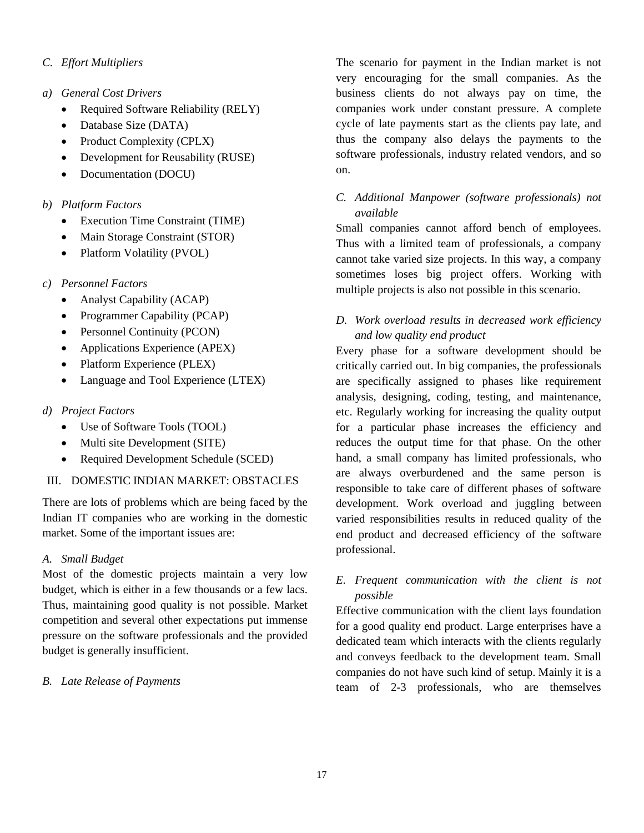### *C. Effort Multipliers*

- *a) General Cost Drivers*
	- Required Software Reliability (RELY)
	- Database Size (DATA)
	- Product Complexity (CPLX)
	- Development for Reusability (RUSE)
	- Documentation (DOCU)

### *b) Platform Factors*

- Execution Time Constraint (TIME)
- Main Storage Constraint (STOR)
- Platform Volatility (PVOL)
- *c) Personnel Factors* 
	- Analyst Capability (ACAP)
	- Programmer Capability (PCAP)
	- Personnel Continuity (PCON)
	- Applications Experience (APEX)
	- Platform Experience (PLEX)
	- Language and Tool Experience (LTEX)

### *d) Project Factors*

- Use of Software Tools (TOOL)
- Multi site Development (SITE)
- Required Development Schedule (SCED)

# III. DOMESTIC INDIAN MARKET: OBSTACLES

There are lots of problems which are being faced by the Indian IT companies who are working in the domestic market. Some of the important issues are:

### *A. Small Budget*

Most of the domestic projects maintain a very low budget, which is either in a few thousands or a few lacs. Thus, maintaining good quality is not possible. Market competition and several other expectations put immense pressure on the software professionals and the provided budget is generally insufficient.

### *B. Late Release of Payments*

The scenario for payment in the Indian market is not very encouraging for the small companies. As the business clients do not always pay on time, the companies work under constant pressure. A complete cycle of late payments start as the clients pay late, and thus the company also delays the payments to the software professionals, industry related vendors, and so on.

### *C. Additional Manpower (software professionals) not available*

Small companies cannot afford bench of employees. Thus with a limited team of professionals, a company cannot take varied size projects. In this way, a company sometimes loses big project offers. Working with multiple projects is also not possible in this scenario.

# *D. Work overload results in decreased work efficiency and low quality end product*

Every phase for a software development should be critically carried out. In big companies, the professionals are specifically assigned to phases like requirement analysis, designing, coding, testing, and maintenance, etc. Regularly working for increasing the quality output for a particular phase increases the efficiency and reduces the output time for that phase. On the other hand, a small company has limited professionals, who are always overburdened and the same person is responsible to take care of different phases of software development. Work overload and juggling between varied responsibilities results in reduced quality of the end product and decreased efficiency of the software professional.

# *E. Frequent communication with the client is not possible*

Effective communication with the client lays foundation for a good quality end product. Large enterprises have a dedicated team which interacts with the clients regularly and conveys feedback to the development team. Small companies do not have such kind of setup. Mainly it is a team of 2-3 professionals, who are themselves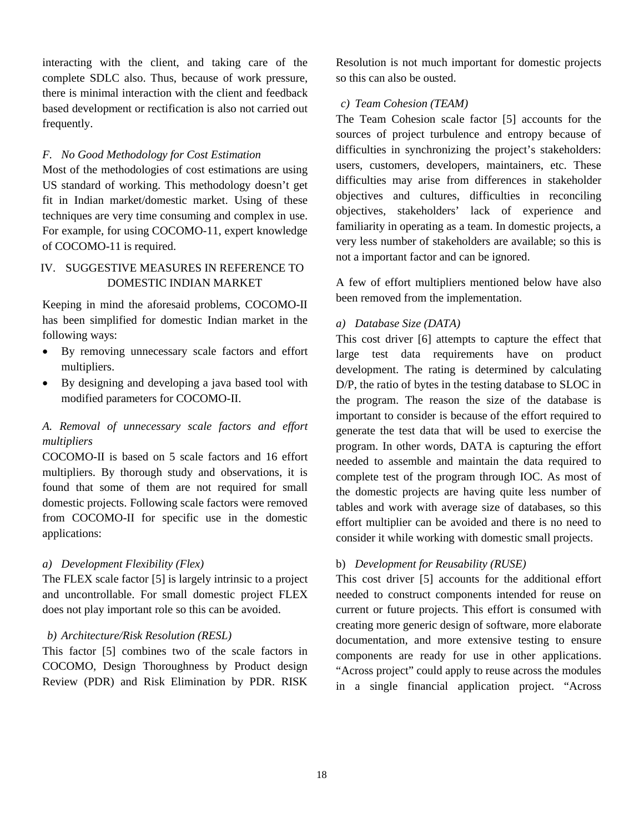interacting with the client, and taking care of the complete SDLC also. Thus, because of work pressure, there is minimal interaction with the client and feedback based development or rectification is also not carried out frequently.

### *F. No Good Methodology for Cost Estimation*

Most of the methodologies of cost estimations are using US standard of working. This methodology doesn't get fit in Indian market/domestic market. Using of these techniques are very time consuming and complex in use. For example, for using COCOMO-11, expert knowledge of COCOMO-11 is required.

# IV. SUGGESTIVE MEASURES IN REFERENCE TO DOMESTIC INDIAN MARKET

Keeping in mind the aforesaid problems, COCOMO-II has been simplified for domestic Indian market in the following ways:

- By removing unnecessary scale factors and effort multipliers.
- By designing and developing a java based tool with modified parameters for COCOMO-II.

# *A. Removal of unnecessary scale factors and effort multipliers*

COCOMO-II is based on 5 scale factors and 16 effort multipliers. By thorough study and observations, it is found that some of them are not required for small domestic projects. Following scale factors were removed from COCOMO-II for specific use in the domestic applications:

### *a) Development Flexibility (Flex)*

The FLEX scale factor [5] is largely intrinsic to a project and uncontrollable. For small domestic project FLEX does not play important role so this can be avoided.

### *b) Architecture/Risk Resolution (RESL)*

This factor [5] combines two of the scale factors in COCOMO, Design Thoroughness by Product design Review (PDR) and Risk Elimination by PDR. RISK Resolution is not much important for domestic projects so this can also be ousted.

## *c) Team Cohesion (TEAM)*

The Team Cohesion scale factor [5] accounts for the sources of project turbulence and entropy because of difficulties in synchronizing the project's stakeholders: users, customers, developers, maintainers, etc. These difficulties may arise from differences in stakeholder objectives and cultures, difficulties in reconciling objectives, stakeholders' lack of experience and familiarity in operating as a team. In domestic projects, a very less number of stakeholders are available; so this is not a important factor and can be ignored.

A few of effort multipliers mentioned below have also been removed from the implementation.

### *a) Database Size (DATA)*

This cost driver [6] attempts to capture the effect that large test data requirements have on product development. The rating is determined by calculating D/P, the ratio of bytes in the testing database to SLOC in the program. The reason the size of the database is important to consider is because of the effort required to generate the test data that will be used to exercise the program. In other words, DATA is capturing the effort needed to assemble and maintain the data required to complete test of the program through IOC. As most of the domestic projects are having quite less number of tables and work with average size of databases, so this effort multiplier can be avoided and there is no need to consider it while working with domestic small projects.

### b) *Development for Reusability (RUSE)*

This cost driver [5] accounts for the additional effort needed to construct components intended for reuse on current or future projects. This effort is consumed with creating more generic design of software, more elaborate documentation, and more extensive testing to ensure components are ready for use in other applications. "Across project" could apply to reuse across the modules in a single financial application project. "Across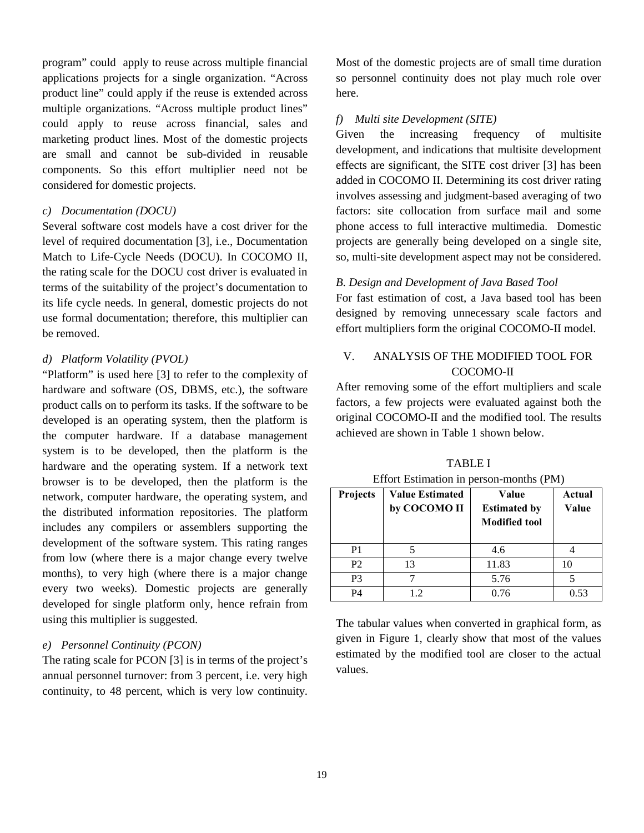program" could apply to reuse across multiple financial applications projects for a single organization. "Across product line" could apply if the reuse is extended across multiple organizations. "Across multiple product lines" could apply to reuse across financial, sales and marketing product lines. Most of the domestic projects are small and cannot be sub-divided in reusable components. So this effort multiplier need not be considered for domestic projects.

### *c) Documentation (DOCU)*

Several software cost models have a cost driver for the level of required documentation [3], i.e., Documentation Match to Life-Cycle Needs (DOCU). In COCOMO II, the rating scale for the DOCU cost driver is evaluated in terms of the suitability of the project's documentation to its life cycle needs. In general, domestic projects do not use formal documentation; therefore, this multiplier can be removed.

### *d) Platform Volatility (PVOL)*

"Platform" is used here [3] to refer to the complexity of hardware and software (OS, DBMS, etc.), the software product calls on to perform its tasks. If the software to be developed is an operating system, then the platform is the computer hardware. If a database management system is to be developed, then the platform is the hardware and the operating system. If a network text browser is to be developed, then the platform is the network, computer hardware, the operating system, and the distributed information repositories. The platform includes any compilers or assemblers supporting the development of the software system. This rating ranges from low (where there is a major change every twelve months), to very high (where there is a major change every two weeks). Domestic projects are generally developed for single platform only, hence refrain from using this multiplier is suggested.

### *e) Personnel Continuity (PCON)*

The rating scale for PCON [3] is in terms of the project's annual personnel turnover: from 3 percent, i.e. very high continuity, to 48 percent, which is very low continuity.

Most of the domestic projects are of small time duration so personnel continuity does not play much role over here.

#### *f) Multi site Development (SITE)*

Given the increasing frequency of multisite development, and indications that multisite development effects are significant, the SITE cost driver [3] has been added in COCOMO II. Determining its cost driver rating involves assessing and judgment-based averaging of two factors: site collocation from surface mail and some phone access to full interactive multimedia. Domestic projects are generally being developed on a single site, so, multi-site development aspect may not be considered.

#### *B. Design and Development of Java Based Tool*

For fast estimation of cost, a Java based tool has been designed by removing unnecessary scale factors and effort multipliers form the original COCOMO-II model.

## V. ANALYSIS OF THE MODIFIED TOOL FOR COCOMO-II

After removing some of the effort multipliers and scale factors, a few projects were evaluated against both the original COCOMO-II and the modified tool. The results achieved are shown in Table 1 shown below.

| <b>Projects</b> | <b>Value Estimated</b><br>by COCOMO II | Value<br><b>Estimated by</b><br><b>Modified tool</b> | Actual<br>Value |
|-----------------|----------------------------------------|------------------------------------------------------|-----------------|
| P <sub>1</sub>  |                                        | 4.6                                                  |                 |
| P <sub>2</sub>  | 13                                     | 11.83                                                | 10              |
| P <sub>3</sub>  |                                        | 5.76                                                 |                 |
| P4              | 1.2.                                   | 0.76                                                 | 0.53            |

TABLE I

The tabular values when converted in graphical form, as given in Figure 1, clearly show that most of the values estimated by the modified tool are closer to the actual values.

Effort Estimation in person-months (PM)